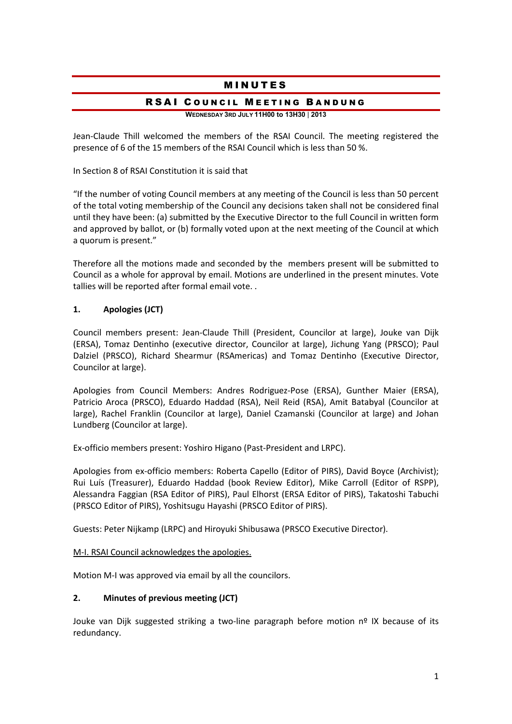# **MINUTES**

#### RSAI COUNCIL MEETING BANDUNG

**WEDNESDAY 3RD JULY 11H00 to 13H30** | **2013**

Jean-Claude Thill welcomed the members of the RSAI Council. The meeting registered the presence of 6 of the 15 members of the RSAI Council which is less than 50 %.

In Section 8 of RSAI Constitution it is said that

"If the number of voting Council members at any meeting of the Council is less than 50 percent of the total voting membership of the Council any decisions taken shall not be considered final until they have been: (a) submitted by the Executive Director to the full Council in written form and approved by ballot, or (b) formally voted upon at the next meeting of the Council at which a quorum is present."

Therefore all the motions made and seconded by the members present will be submitted to Council as a whole for approval by email. Motions are underlined in the present minutes. Vote tallies will be reported after formal email vote. .

#### **1. Apologies (JCT)**

Council members present: Jean-Claude Thill (President, Councilor at large), Jouke van Dijk (ERSA), Tomaz Dentinho (executive director, Councilor at large), Jichung Yang (PRSCO); Paul Dalziel (PRSCO), Richard Shearmur (RSAmericas) and Tomaz Dentinho (Executive Director, Councilor at large).

Apologies from Council Members: Andres Rodriguez-Pose (ERSA), Gunther Maier (ERSA), Patricio Aroca (PRSCO), Eduardo Haddad (RSA), Neil Reid (RSA), Amit Batabyal (Councilor at large), Rachel Franklin (Councilor at large), Daniel Czamanski (Councilor at large) and Johan Lundberg (Councilor at large).

Ex-officio members present: Yoshiro Higano (Past-President and LRPC).

Apologies from ex-officio members: Roberta Capello (Editor of PIRS), David Boyce (Archivist); Rui Luís (Treasurer), Eduardo Haddad (book Review Editor), Mike Carroll (Editor of RSPP), Alessandra Faggian (RSA Editor of PIRS), Paul Elhorst (ERSA Editor of PIRS), Takatoshi Tabuchi (PRSCO Editor of PIRS), Yoshitsugu Hayashi (PRSCO Editor of PIRS).

Guests: Peter Nijkamp (LRPC) and Hiroyuki Shibusawa (PRSCO Executive Director).

#### M-I. RSAI Council acknowledges the apologies.

Motion M-I was approved via email by all the councilors.

#### **2. Minutes of previous meeting (JCT)**

Jouke van Dijk suggested striking a two-line paragraph before motion  $n^{\circ}$  IX because of its redundancy.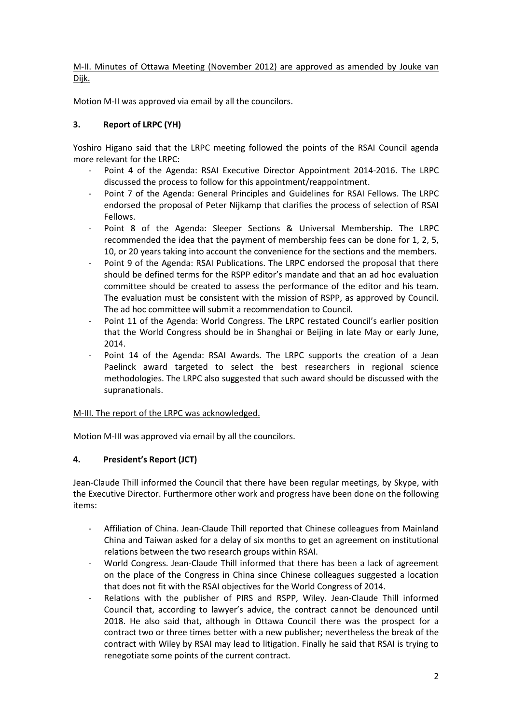M-II. Minutes of Ottawa Meeting (November 2012) are approved as amended by Jouke van Dijk.

Motion M-II was approved via email by all the councilors.

### **3. Report of LRPC (YH)**

Yoshiro Higano said that the LRPC meeting followed the points of the RSAI Council agenda more relevant for the LRPC:

- Point 4 of the Agenda: RSAI Executive Director Appointment 2014-2016. The LRPC discussed the process to follow for this appointment/reappointment.
- Point 7 of the Agenda: General Principles and Guidelines for RSAI Fellows. The LRPC endorsed the proposal of Peter Nijkamp that clarifies the process of selection of RSAI Fellows.
- Point 8 of the Agenda: Sleeper Sections & Universal Membership. The LRPC recommended the idea that the payment of membership fees can be done for 1, 2, 5, 10, or 20 years taking into account the convenience for the sections and the members.
- Point 9 of the Agenda: RSAI Publications. The LRPC endorsed the proposal that there should be defined terms for the RSPP editor's mandate and that an ad hoc evaluation committee should be created to assess the performance of the editor and his team. The evaluation must be consistent with the mission of RSPP, as approved by Council. The ad hoc committee will submit a recommendation to Council.
- Point 11 of the Agenda: World Congress. The LRPC restated Council's earlier position that the World Congress should be in Shanghai or Beijing in late May or early June, 2014.
- Point 14 of the Agenda: RSAI Awards. The LRPC supports the creation of a Jean Paelinck award targeted to select the best researchers in regional science methodologies. The LRPC also suggested that such award should be discussed with the supranationals.

#### M-III. The report of the LRPC was acknowledged.

Motion M-III was approved via email by all the councilors.

### **4. President's Report (JCT)**

Jean-Claude Thill informed the Council that there have been regular meetings, by Skype, with the Executive Director. Furthermore other work and progress have been done on the following items:

- Affiliation of China. Jean-Claude Thill reported that Chinese colleagues from Mainland China and Taiwan asked for a delay of six months to get an agreement on institutional relations between the two research groups within RSAI.
- World Congress. Jean-Claude Thill informed that there has been a lack of agreement on the place of the Congress in China since Chinese colleagues suggested a location that does not fit with the RSAI objectives for the World Congress of 2014.
- Relations with the publisher of PIRS and RSPP, Wiley. Jean-Claude Thill informed Council that, according to lawyer's advice, the contract cannot be denounced until 2018. He also said that, although in Ottawa Council there was the prospect for a contract two or three times better with a new publisher; nevertheless the break of the contract with Wiley by RSAI may lead to litigation. Finally he said that RSAI is trying to renegotiate some points of the current contract.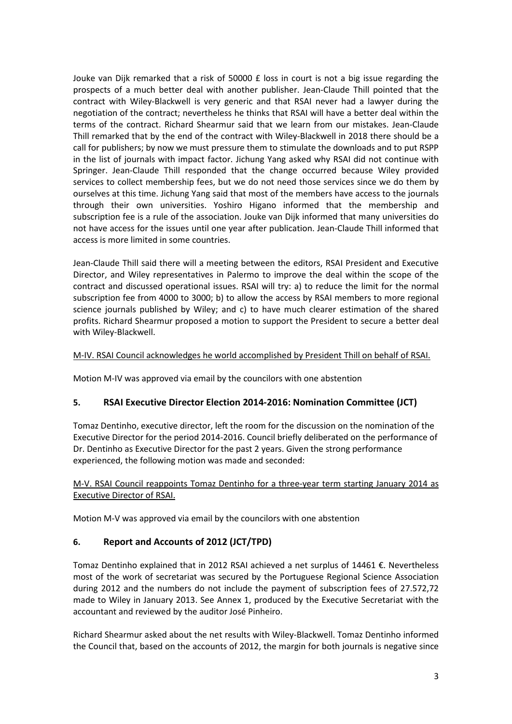Jouke van Dijk remarked that a risk of  $50000 \text{ f}$  loss in court is not a big issue regarding the prospects of a much better deal with another publisher. Jean-Claude Thill pointed that the contract with Wiley-Blackwell is very generic and that RSAI never had a lawyer during the negotiation of the contract; nevertheless he thinks that RSAI will have a better deal within the terms of the contract. Richard Shearmur said that we learn from our mistakes. Jean-Claude Thill remarked that by the end of the contract with Wiley-Blackwell in 2018 there should be a call for publishers; by now we must pressure them to stimulate the downloads and to put RSPP in the list of journals with impact factor. Jichung Yang asked why RSAI did not continue with Springer. Jean-Claude Thill responded that the change occurred because Wiley provided services to collect membership fees, but we do not need those services since we do them by ourselves at this time. Jichung Yang said that most of the members have access to the journals through their own universities. Yoshiro Higano informed that the membership and subscription fee is a rule of the association. Jouke van Dijk informed that many universities do not have access for the issues until one year after publication. Jean-Claude Thill informed that access is more limited in some countries.

Jean-Claude Thill said there will a meeting between the editors, RSAI President and Executive Director, and Wiley representatives in Palermo to improve the deal within the scope of the contract and discussed operational issues. RSAI will try: a) to reduce the limit for the normal subscription fee from 4000 to 3000; b) to allow the access by RSAI members to more regional science journals published by Wiley; and c) to have much clearer estimation of the shared profits. Richard Shearmur proposed a motion to support the President to secure a better deal with Wiley-Blackwell.

#### M-IV. RSAI Council acknowledges he world accomplished by President Thill on behalf of RSAI.

Motion M-IV was approved via email by the councilors with one abstention

#### **5. RSAI Executive Director Election 2014-2016: Nomination Committee (JCT)**

Tomaz Dentinho, executive director, left the room for the discussion on the nomination of the Executive Director for the period 2014-2016. Council briefly deliberated on the performance of Dr. Dentinho as Executive Director for the past 2 years. Given the strong performance experienced, the following motion was made and seconded:

#### M-V. RSAI Council reappoints Tomaz Dentinho for a three-year term starting January 2014 as Executive Director of RSAI.

Motion M-V was approved via email by the councilors with one abstention

#### **6. Report and Accounts of 2012 (JCT/TPD)**

Tomaz Dentinho explained that in 2012 RSAI achieved a net surplus of 14461 €. Nevertheless most of the work of secretariat was secured by the Portuguese Regional Science Association during 2012 and the numbers do not include the payment of subscription fees of 27.572,72 made to Wiley in January 2013. See Annex 1, produced by the Executive Secretariat with the accountant and reviewed by the auditor José Pinheiro.

Richard Shearmur asked about the net results with Wiley-Blackwell. Tomaz Dentinho informed the Council that, based on the accounts of 2012, the margin for both journals is negative since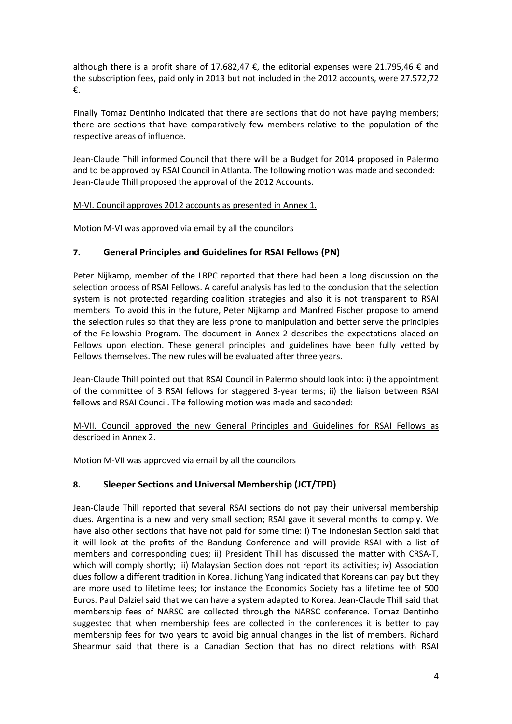although there is a profit share of 17.682,47  $\epsilon$ , the editorial expenses were 21.795,46  $\epsilon$  and the subscription fees, paid only in 2013 but not included in the 2012 accounts, were 27.572,72 €.

Finally Tomaz Dentinho indicated that there are sections that do not have paying members; there are sections that have comparatively few members relative to the population of the respective areas of influence.

Jean-Claude Thill informed Council that there will be a Budget for 2014 proposed in Palermo and to be approved by RSAI Council in Atlanta. The following motion was made and seconded: Jean-Claude Thill proposed the approval of the 2012 Accounts.

#### M-VI. Council approves 2012 accounts as presented in Annex 1.

Motion M-VI was approved via email by all the councilors

#### **7. General Principles and Guidelines for RSAI Fellows (PN)**

Peter Nijkamp, member of the LRPC reported that there had been a long discussion on the selection process of RSAI Fellows. A careful analysis has led to the conclusion that the selection system is not protected regarding coalition strategies and also it is not transparent to RSAI members. To avoid this in the future, Peter Nijkamp and Manfred Fischer propose to amend the selection rules so that they are less prone to manipulation and better serve the principles of the Fellowship Program. The document in Annex 2 describes the expectations placed on Fellows upon election. These general principles and guidelines have been fully vetted by Fellows themselves. The new rules will be evaluated after three years.

Jean-Claude Thill pointed out that RSAI Council in Palermo should look into: i) the appointment of the committee of 3 RSAI fellows for staggered 3-year terms; ii) the liaison between RSAI fellows and RSAI Council. The following motion was made and seconded:

M-VII. Council approved the new General Principles and Guidelines for RSAI Fellows as described in Annex 2.

Motion M-VII was approved via email by all the councilors

#### **8. Sleeper Sections and Universal Membership (JCT/TPD)**

Jean-Claude Thill reported that several RSAI sections do not pay their universal membership dues. Argentina is a new and very small section; RSAI gave it several months to comply. We have also other sections that have not paid for some time: i) The Indonesian Section said that it will look at the profits of the Bandung Conference and will provide RSAI with a list of members and corresponding dues; ii) President Thill has discussed the matter with CRSA-T, which will comply shortly; iii) Malaysian Section does not report its activities; iv) Association dues follow a different tradition in Korea. Jichung Yang indicated that Koreans can pay but they are more used to lifetime fees; for instance the Economics Society has a lifetime fee of 500 Euros. Paul Dalziel said that we can have a system adapted to Korea. Jean-Claude Thill said that membership fees of NARSC are collected through the NARSC conference. Tomaz Dentinho suggested that when membership fees are collected in the conferences it is better to pay membership fees for two years to avoid big annual changes in the list of members. Richard Shearmur said that there is a Canadian Section that has no direct relations with RSAI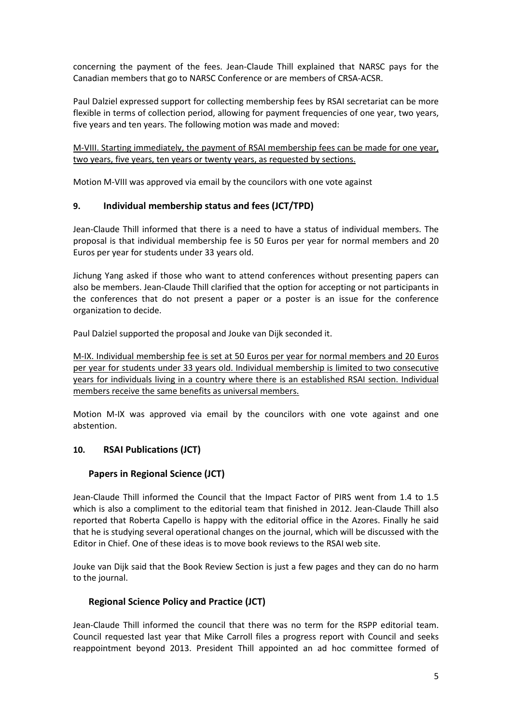concerning the payment of the fees. Jean-Claude Thill explained that NARSC pays for the Canadian members that go to NARSC Conference or are members of CRSA-ACSR.

Paul Dalziel expressed support for collecting membership fees by RSAI secretariat can be more flexible in terms of collection period, allowing for payment frequencies of one year, two years, five years and ten years. The following motion was made and moved:

M-VIII. Starting immediately, the payment of RSAI membership fees can be made for one year, two years, five years, ten years or twenty years, as requested by sections.

Motion M-VIII was approved via email by the councilors with one vote against

#### **9. Individual membership status and fees (JCT/TPD)**

Jean-Claude Thill informed that there is a need to have a status of individual members. The proposal is that individual membership fee is 50 Euros per year for normal members and 20 Euros per year for students under 33 years old.

Jichung Yang asked if those who want to attend conferences without presenting papers can also be members. Jean-Claude Thill clarified that the option for accepting or not participants in the conferences that do not present a paper or a poster is an issue for the conference organization to decide.

Paul Dalziel supported the proposal and Jouke van Dijk seconded it.

M-IX. Individual membership fee is set at 50 Euros per year for normal members and 20 Euros per year for students under 33 years old. Individual membership is limited to two consecutive years for individuals living in a country where there is an established RSAI section. Individual members receive the same benefits as universal members.

Motion M-IX was approved via email by the councilors with one vote against and one abstention.

#### **10. RSAI Publications (JCT)**

#### **Papers in Regional Science (JCT)**

Jean-Claude Thill informed the Council that the Impact Factor of PIRS went from 1.4 to 1.5 which is also a compliment to the editorial team that finished in 2012. Jean-Claude Thill also reported that Roberta Capello is happy with the editorial office in the Azores. Finally he said that he is studying several operational changes on the journal, which will be discussed with the Editor in Chief. One of these ideas is to move book reviews to the RSAI web site.

Jouke van Dijk said that the Book Review Section is just a few pages and they can do no harm to the journal.

#### **Regional Science Policy and Practice (JCT)**

Jean-Claude Thill informed the council that there was no term for the RSPP editorial team. Council requested last year that Mike Carroll files a progress report with Council and seeks reappointment beyond 2013. President Thill appointed an ad hoc committee formed of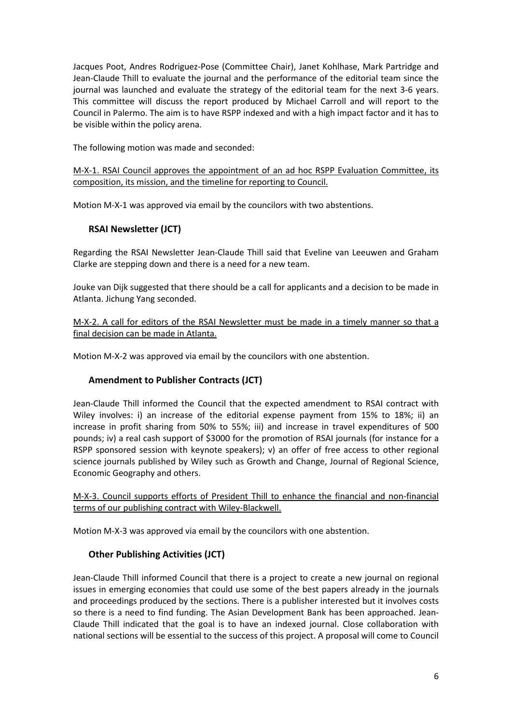Jacques Poot, Andres Rodriguez-Pose (Committee Chair), Janet Kohlhase, Mark Partridge and Jean-Claude Thill to evaluate the journal and the performance of the editorial team since the journal was launched and evaluate the strategy of the editorial team for the next 3-6 years. This committee will discuss the report produced by Michael Carroll and will report to the Council in Palermo. The aim is to have RSPP indexed and with a high impact factor and it has to be visible within the policy arena.

The following motion was made and seconded:

M-X-1. RSAI Council approves the appointment of an ad hoc RSPP Evaluation Committee, its composition, its mission, and the timeline for reporting to Council.

Motion M-X-1 was approved via email by the councilors with two abstentions.

### **RSAI Newsletter (JCT)**

Regarding the RSAI Newsletter Jean-Claude Thill said that Eveline van Leeuwen and Graham Clarke are stepping down and there is a need for a new team.

Jouke van Dijk suggested that there should be a call for applicants and a decision to be made in Atlanta. Jichung Yang seconded.

M-X-2. A call for editors of the RSAI Newsletter must be made in a timely manner so that a final decision can be made in Atlanta.

Motion M-X-2 was approved via email by the councilors with one abstention.

### **Amendment to Publisher Contracts (JCT)**

Jean-Claude Thill informed the Council that the expected amendment to RSAI contract with Wiley involves: i) an increase of the editorial expense payment from 15% to 18%; ii) an increase in profit sharing from 50% to 55%; iii) and increase in travel expenditures of 500 pounds; iv) a real cash support of \$3000 for the promotion of RSAI journals (for instance for a RSPP sponsored session with keynote speakers); v) an offer of free access to other regional science journals published by Wiley such as Growth and Change, Journal of Regional Science, Economic Geography and others.

M-X-3. Council supports efforts of President Thill to enhance the financial and non-financial terms of our publishing contract with Wiley-Blackwell.

Motion M-X-3 was approved via email by the councilors with one abstention.

# **Other Publishing Activities (JCT)**

Jean-Claude Thill informed Council that there is a project to create a new journal on regional issues in emerging economies that could use some of the best papers already in the journals and proceedings produced by the sections. There is a publisher interested but it involves costs so there is a need to find funding. The Asian Development Bank has been approached. Jean-Claude Thill indicated that the goal is to have an indexed journal. Close collaboration with national sections will be essential to the success of this project. A proposal will come to Council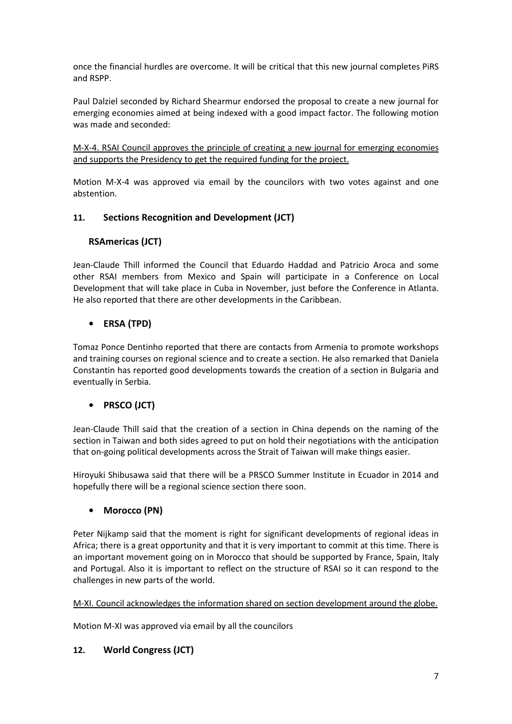once the financial hurdles are overcome. It will be critical that this new journal completes PiRS and RSPP.

Paul Dalziel seconded by Richard Shearmur endorsed the proposal to create a new journal for emerging economies aimed at being indexed with a good impact factor. The following motion was made and seconded:

M-X-4. RSAI Council approves the principle of creating a new journal for emerging economies and supports the Presidency to get the required funding for the project.

Motion M-X-4 was approved via email by the councilors with two votes against and one abstention.

### **11. Sections Recognition and Development (JCT)**

### **RSAmericas (JCT)**

Jean-Claude Thill informed the Council that Eduardo Haddad and Patricio Aroca and some other RSAI members from Mexico and Spain will participate in a Conference on Local Development that will take place in Cuba in November, just before the Conference in Atlanta. He also reported that there are other developments in the Caribbean.

### **• ERSA (TPD)**

Tomaz Ponce Dentinho reported that there are contacts from Armenia to promote workshops and training courses on regional science and to create a section. He also remarked that Daniela Constantin has reported good developments towards the creation of a section in Bulgaria and eventually in Serbia.

### **• PRSCO (JCT)**

Jean-Claude Thill said that the creation of a section in China depends on the naming of the section in Taiwan and both sides agreed to put on hold their negotiations with the anticipation that on-going political developments across the Strait of Taiwan will make things easier.

Hiroyuki Shibusawa said that there will be a PRSCO Summer Institute in Ecuador in 2014 and hopefully there will be a regional science section there soon.

#### **• Morocco (PN)**

Peter Nijkamp said that the moment is right for significant developments of regional ideas in Africa; there is a great opportunity and that it is very important to commit at this time. There is an important movement going on in Morocco that should be supported by France, Spain, Italy and Portugal. Also it is important to reflect on the structure of RSAI so it can respond to the challenges in new parts of the world.

#### M-XI. Council acknowledges the information shared on section development around the globe.

Motion M-XI was approved via email by all the councilors

#### **12. World Congress (JCT)**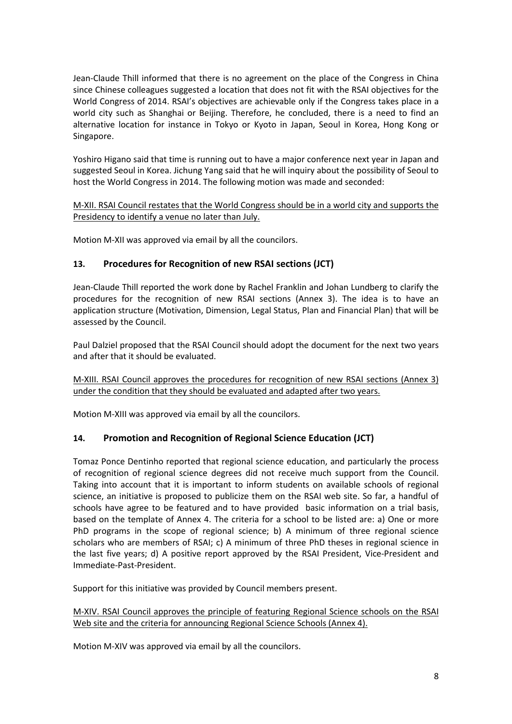Jean-Claude Thill informed that there is no agreement on the place of the Congress in China since Chinese colleagues suggested a location that does not fit with the RSAI objectives for the World Congress of 2014. RSAI's objectives are achievable only if the Congress takes place in a world city such as Shanghai or Beijing. Therefore, he concluded, there is a need to find an alternative location for instance in Tokyo or Kyoto in Japan, Seoul in Korea, Hong Kong or Singapore.

Yoshiro Higano said that time is running out to have a major conference next year in Japan and suggested Seoul in Korea. Jichung Yang said that he will inquiry about the possibility of Seoul to host the World Congress in 2014. The following motion was made and seconded:

#### M-XII. RSAI Council restates that the World Congress should be in a world city and supports the Presidency to identify a venue no later than July.

Motion M-XII was approved via email by all the councilors.

### **13. Procedures for Recognition of new RSAI sections (JCT)**

Jean-Claude Thill reported the work done by Rachel Franklin and Johan Lundberg to clarify the procedures for the recognition of new RSAI sections (Annex 3). The idea is to have an application structure (Motivation, Dimension, Legal Status, Plan and Financial Plan) that will be assessed by the Council.

Paul Dalziel proposed that the RSAI Council should adopt the document for the next two years and after that it should be evaluated.

M-XIII. RSAI Council approves the procedures for recognition of new RSAI sections (Annex 3) under the condition that they should be evaluated and adapted after two years.

Motion M-XIII was approved via email by all the councilors.

#### **14. Promotion and Recognition of Regional Science Education (JCT)**

Tomaz Ponce Dentinho reported that regional science education, and particularly the process of recognition of regional science degrees did not receive much support from the Council. Taking into account that it is important to inform students on available schools of regional science, an initiative is proposed to publicize them on the RSAI web site. So far, a handful of schools have agree to be featured and to have provided basic information on a trial basis, based on the template of Annex 4. The criteria for a school to be listed are: a) One or more PhD programs in the scope of regional science; b) A minimum of three regional science scholars who are members of RSAI; c) A minimum of three PhD theses in regional science in the last five years; d) A positive report approved by the RSAI President, Vice-President and Immediate-Past-President.

Support for this initiative was provided by Council members present.

M-XIV. RSAI Council approves the principle of featuring Regional Science schools on the RSAI Web site and the criteria for announcing Regional Science Schools (Annex 4).

Motion M-XIV was approved via email by all the councilors.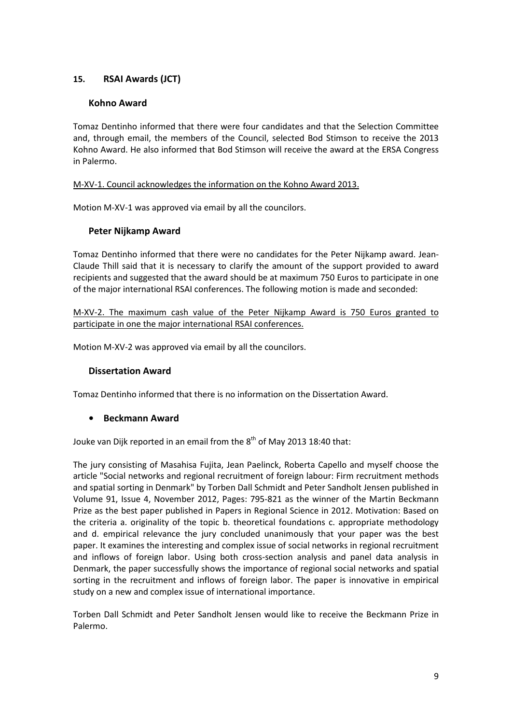### **15. RSAI Awards (JCT)**

#### **Kohno Award**

Tomaz Dentinho informed that there were four candidates and that the Selection Committee and, through email, the members of the Council, selected Bod Stimson to receive the 2013 Kohno Award. He also informed that Bod Stimson will receive the award at the ERSA Congress in Palermo.

M-XV-1. Council acknowledges the information on the Kohno Award 2013.

Motion M-XV-1 was approved via email by all the councilors.

#### **Peter Nijkamp Award**

Tomaz Dentinho informed that there were no candidates for the Peter Nijkamp award. Jean-Claude Thill said that it is necessary to clarify the amount of the support provided to award recipients and suggested that the award should be at maximum 750 Euros to participate in one of the major international RSAI conferences. The following motion is made and seconded:

M-XV-2. The maximum cash value of the Peter Nijkamp Award is 750 Euros granted to participate in one the major international RSAI conferences.

Motion M-XV-2 was approved via email by all the councilors.

#### **Dissertation Award**

Tomaz Dentinho informed that there is no information on the Dissertation Award.

#### **• Beckmann Award**

Jouke van Dijk reported in an email from the 8<sup>th</sup> of May 2013 18:40 that:

The jury consisting of Masahisa Fujita, Jean Paelinck, Roberta Capello and myself choose the article "Social networks and regional recruitment of foreign labour: Firm recruitment methods and spatial sorting in Denmark" by Torben Dall Schmidt and Peter Sandholt Jensen published in Volume 91, Issue 4, November 2012, Pages: 795-821 as the winner of the Martin Beckmann Prize as the best paper published in Papers in Regional Science in 2012. Motivation: Based on the criteria a. originality of the topic b. theoretical foundations c. appropriate methodology and d. empirical relevance the jury concluded unanimously that your paper was the best paper. It examines the interesting and complex issue of social networks in regional recruitment and inflows of foreign labor. Using both cross-section analysis and panel data analysis in Denmark, the paper successfully shows the importance of regional social networks and spatial sorting in the recruitment and inflows of foreign labor. The paper is innovative in empirical study on a new and complex issue of international importance.

Torben Dall Schmidt and Peter Sandholt Jensen would like to receive the Beckmann Prize in Palermo.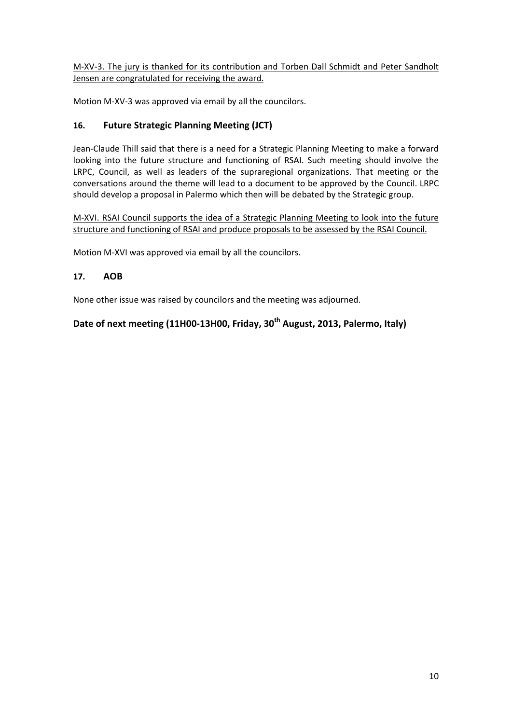M-XV-3. The jury is thanked for its contribution and Torben Dall Schmidt and Peter Sandholt Jensen are congratulated for receiving the award.

Motion M-XV-3 was approved via email by all the councilors.

### **16. Future Strategic Planning Meeting (JCT)**

Jean-Claude Thill said that there is a need for a Strategic Planning Meeting to make a forward looking into the future structure and functioning of RSAI. Such meeting should involve the LRPC, Council, as well as leaders of the supraregional organizations. That meeting or the conversations around the theme will lead to a document to be approved by the Council. LRPC should develop a proposal in Palermo which then will be debated by the Strategic group.

M-XVI. RSAI Council supports the idea of a Strategic Planning Meeting to look into the future structure and functioning of RSAI and produce proposals to be assessed by the RSAI Council.

Motion M-XVI was approved via email by all the councilors.

#### **17. AOB**

None other issue was raised by councilors and the meeting was adjourned.

# **Date of next meeting (11H00-13H00, Friday, 30th August, 2013, Palermo, Italy)**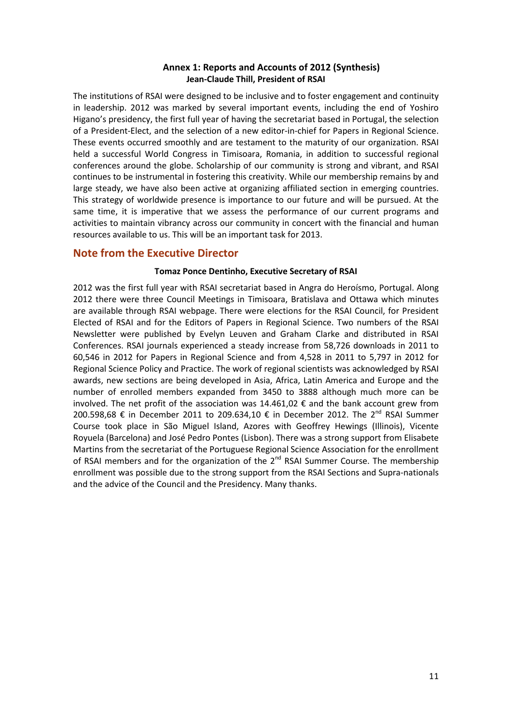#### **Annex 1: Reports and Accounts of 2012 (Synthesis) Jean-Claude Thill, President of RSAI**

The institutions of RSAI were designed to be inclusive and to foster engagement and continuity in leadership. 2012 was marked by several important events, including the end of Yoshiro Higano's presidency, the first full year of having the secretariat based in Portugal, the selection of a President-Elect, and the selection of a new editor-in-chief for Papers in Regional Science. These events occurred smoothly and are testament to the maturity of our organization. RSAI held a successful World Congress in Timisoara, Romania, in addition to successful regional conferences around the globe. Scholarship of our community is strong and vibrant, and RSAI continues to be instrumental in fostering this creativity. While our membership remains by and large steady, we have also been active at organizing affiliated section in emerging countries. This strategy of worldwide presence is importance to our future and will be pursued. At the same time, it is imperative that we assess the performance of our current programs and activities to maintain vibrancy across our community in concert with the financial and human resources available to us. This will be an important task for 2013.

### **Note from the Executive Director**

#### **Tomaz Ponce Dentinho, Executive Secretary of RSAI**

2012 was the first full year with RSAI secretariat based in Angra do Heroísmo, Portugal. Along 2012 there were three Council Meetings in Timisoara, Bratislava and Ottawa which minutes are available through RSAI webpage. There were elections for the RSAI Council, for President Elected of RSAI and for the Editors of Papers in Regional Science. Two numbers of the RSAI Newsletter were published by Evelyn Leuven and Graham Clarke and distributed in RSAI Conferences. RSAI journals experienced a steady increase from 58,726 downloads in 2011 to 60,546 in 2012 for Papers in Regional Science and from 4,528 in 2011 to 5,797 in 2012 for Regional Science Policy and Practice. The work of regional scientists was acknowledged by RSAI awards, new sections are being developed in Asia, Africa, Latin America and Europe and the number of enrolled members expanded from 3450 to 3888 although much more can be involved. The net profit of the association was  $14.461,02 \text{ } \in \text{ and the bank account grew from }$ 200.598,68 € in December 2011 to 209.634,10 € in December 2012. The 2<sup>nd</sup> RSAI Summer Course took place in São Miguel Island, Azores with Geoffrey Hewings (Illinois), Vicente Royuela (Barcelona) and José Pedro Pontes (Lisbon). There was a strong support from Elisabete Martins from the secretariat of the Portuguese Regional Science Association for the enrollment of RSAI members and for the organization of the  $2^{nd}$  RSAI Summer Course. The membership enrollment was possible due to the strong support from the RSAI Sections and Supra-nationals and the advice of the Council and the Presidency. Many thanks.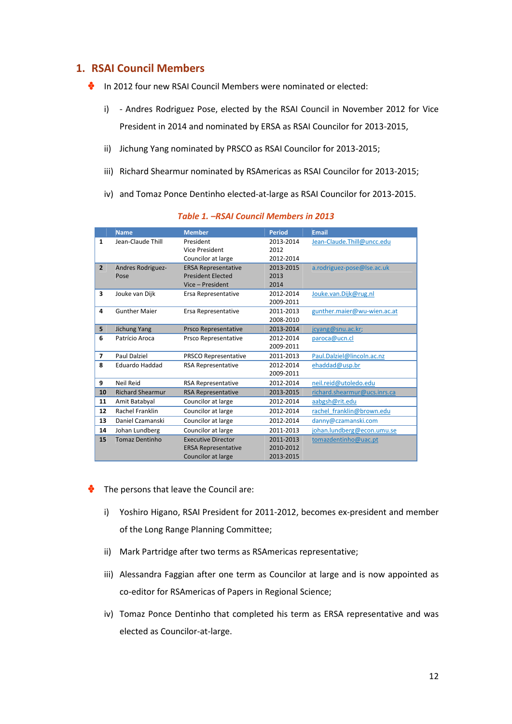### **1. RSAI Council Members**

- In 2012 four new RSAI Council Members were nominated or elected:
	- i) Andres Rodriguez Pose, elected by the RSAI Council in November 2012 for Vice President in 2014 and nominated by ERSA as RSAI Councilor for 2013-2015,
	- ii) Jichung Yang nominated by PRSCO as RSAI Councilor for 2013-2015;
	- iii) Richard Shearmur nominated by RSAmericas as RSAI Councilor for 2013-2015;
	- iv) and Tomaz Ponce Dentinho elected-at-large as RSAI Councilor for 2013-2015.

|                | <b>Name</b>              | <b>Member</b>               | <b>Period</b> | <b>Email</b>                 |  |
|----------------|--------------------------|-----------------------------|---------------|------------------------------|--|
| $\mathbf{1}$   | Jean-Claude Thill        | President                   | 2013-2014     | Jean-Claude.Thill@uncc.edu   |  |
|                |                          | <b>Vice President</b>       | 2012          |                              |  |
|                |                          | Councilor at large          | 2012-2014     |                              |  |
| $\overline{2}$ | <b>Andres Rodriguez-</b> | <b>ERSA Representative</b>  | 2013-2015     | a.rodriguez-pose@lse.ac.uk   |  |
|                | Pose                     | <b>President Elected</b>    | 2013          |                              |  |
|                |                          | Vice - President            | 2014          |                              |  |
| 3              | Jouke van Dijk           | Ersa Representative         | 2012-2014     | Jouke.van.Dijk@rug.nl        |  |
|                |                          |                             | 2009-2011     |                              |  |
| 4              | <b>Gunther Majer</b>     | Ersa Representative         | 2011-2013     | gunther.maier@wu-wien.ac.at  |  |
|                |                          |                             | 2008-2010     |                              |  |
| 5              | <b>Jichung Yang</b>      | <b>Prsco Representative</b> | 2013-2014     | jcyang@snu.ac.kr;            |  |
| 6              | Patrício Aroca           | Prsco Representative        | 2012-2014     | paroca@ucn.cl                |  |
|                |                          |                             | 2009-2011     |                              |  |
| $\overline{ }$ | <b>Paul Dalziel</b>      | PRSCO Representative        | 2011-2013     | Paul.Dalziel@lincoln.ac.nz   |  |
| 8              | <b>Eduardo Haddad</b>    | <b>RSA Representative</b>   | 2012-2014     | ehaddad@usp.br               |  |
|                |                          |                             | 2009-2011     |                              |  |
| 9              | Neil Reid                | <b>RSA Representative</b>   | 2012-2014     | neil.reid@utoledo.edu        |  |
| 10             | <b>Richard Shearmur</b>  | <b>RSA Representative</b>   | 2013-2015     | richard.shearmur@ucs.inrs.ca |  |
| 11             | Amit Batabyal            | Councilor at large          | 2012-2014     | aabgsh@rit.edu               |  |
| 12             | <b>Rachel Franklin</b>   | Councilor at large          | 2012-2014     | rachel franklin@brown.edu    |  |
| 13             | Daniel Czamanski         | Councilor at large          | 2012-2014     | danny@czamanski.com          |  |
| 14             | Johan Lundberg           | Councilor at large          | 2011-2013     | johan.lundberg@econ.umu.se   |  |
| 15             | <b>Tomaz Dentinho</b>    | <b>Executive Director</b>   | 2011-2013     | tomazdentinho@uac.pt         |  |
|                |                          | <b>ERSA Representative</b>  | 2010-2012     |                              |  |
|                |                          | Councilor at large          | 2013-2015     |                              |  |

#### *Table 1. –RSAI Council Members in 2013*

- The persons that leave the Council are: ♣
	- i) Yoshiro Higano, RSAI President for 2011-2012, becomes ex-president and member of the Long Range Planning Committee;
	- ii) Mark Partridge after two terms as RSAmericas representative;
	- iii) Alessandra Faggian after one term as Councilor at large and is now appointed as co-editor for RSAmericas of Papers in Regional Science;
	- iv) Tomaz Ponce Dentinho that completed his term as ERSA representative and was elected as Councilor-at-large.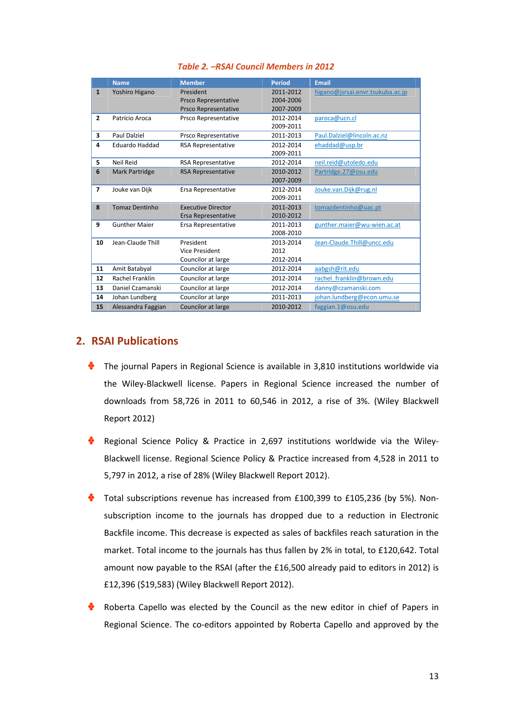|                          | <b>Name</b>           | <b>Member</b>             | <b>Period</b> | <b>Email</b>                     |
|--------------------------|-----------------------|---------------------------|---------------|----------------------------------|
| $\mathbf{1}$             | Yoshiro Higano        | President                 | 2011-2012     | higano@jsrsai.envr.tsukuba.ac.jp |
|                          |                       | Prsco Representative      | 2004-2006     |                                  |
|                          |                       | Prsco Representative      | 2007-2009     |                                  |
| $\overline{2}$           | Patrício Aroca        | Prsco Representative      | 2012-2014     | paroca@ucn.cl                    |
|                          |                       |                           | 2009-2011     |                                  |
| 3                        | Paul Dalziel          | Prsco Representative      | 2011-2013     | Paul.Dalziel@lincoln.ac.nz       |
| 4                        | Eduardo Haddad        | <b>RSA Representative</b> | 2012-2014     | ehaddad@usp.br                   |
|                          |                       |                           | 2009-2011     |                                  |
| 5                        | Neil Reid             | <b>RSA Representative</b> | 2012-2014     | neil.reid@utoledo.edu            |
| 6                        | <b>Mark Partridge</b> | <b>RSA Representative</b> | 2010-2012     | Partridge.27@osu.edu             |
|                          |                       |                           | 2007-2009     |                                  |
| $\overline{\phantom{a}}$ | Jouke van Dijk        | Ersa Representative       | 2012-2014     | Jouke.van.Dijk@rug.nl            |
|                          |                       |                           | 2009-2011     |                                  |
| 8                        | <b>Tomaz Dentinho</b> | <b>Executive Director</b> | 2011-2013     | tomazdentinho@uac.pt             |
|                          |                       | Ersa Representative       | 2010-2012     |                                  |
| 9                        | <b>Gunther Maier</b>  | Ersa Representative       | 2011-2013     | gunther.maier@wu-wien.ac.at      |
|                          |                       |                           | 2008-2010     |                                  |
| 10                       | Jean-Claude Thill     | President                 | 2013-2014     | Jean-Claude.Thill@uncc.edu       |
|                          |                       | Vice President            | 2012          |                                  |
|                          |                       | Councilor at large        | 2012-2014     |                                  |
| 11                       | Amit Batabyal         | Councilor at large        | 2012-2014     | aabgsh@rit.edu                   |
| 12                       | Rachel Franklin       | Councilor at large        | 2012-2014     | rachel franklin@brown.edu        |
| 13                       | Daniel Czamanski      | Councilor at large        | 2012-2014     | danny@czamanski.com              |
| 14                       | Johan Lundberg        | Councilor at large        | 2011-2013     | johan.lundberg@econ.umu.se       |
| 15                       | Alessandra Faggian    | Councilor at large        | 2010-2012     | faggian.1@osu.edu                |

### **2. RSAI Publications**

- $\bullet$  The journal Papers in Regional Science is available in 3,810 institutions worldwide via the Wiley-Blackwell license. Papers in Regional Science increased the number of downloads from 58,726 in 2011 to 60,546 in 2012, a rise of 3%. (Wiley Blackwell Report 2012)
- Regional Science Policy & Practice in 2,697 institutions worldwide via the Wiley-Blackwell license. Regional Science Policy & Practice increased from 4,528 in 2011 to 5,797 in 2012, a rise of 28% (Wiley Blackwell Report 2012).
- ф Total subscriptions revenue has increased from £100,399 to £105,236 (by 5%). Nonsubscription income to the journals has dropped due to a reduction in Electronic Backfile income. This decrease is expected as sales of backfiles reach saturation in the market. Total income to the journals has thus fallen by 2% in total, to £120,642. Total amount now payable to the RSAI (after the £16,500 already paid to editors in 2012) is £12,396 (\$19,583) (Wiley Blackwell Report 2012).
- Roberta Capello was elected by the Council as the new editor in chief of Papers in Regional Science. The co-editors appointed by Roberta Capello and approved by the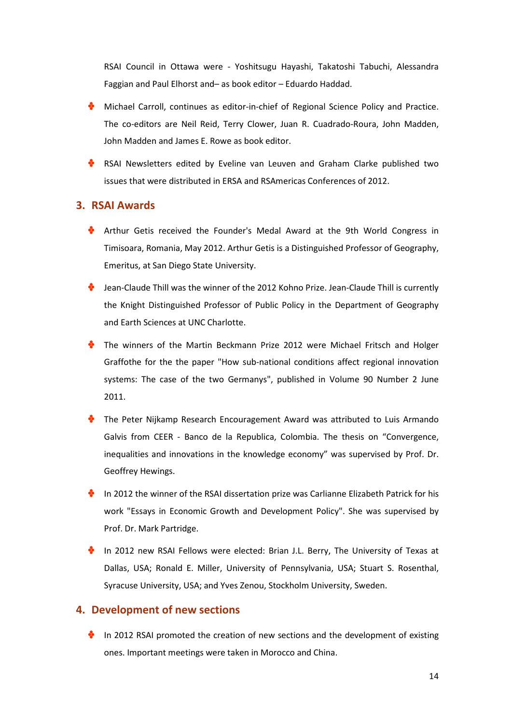RSAI Council in Ottawa were - Yoshitsugu Hayashi, Takatoshi Tabuchi, Alessandra Faggian and Paul Elhorst and– as book editor – Eduardo Haddad.

- **Michael Carroll, continues as editor-in-chief of Regional Science Policy and Practice.** The co-editors are Neil Reid, Terry Clower, Juan R. Cuadrado-Roura, John Madden, John Madden and James E. Rowe as book editor.
- RSAI Newsletters edited by Eveline van Leuven and Graham Clarke published two issues that were distributed in ERSA and RSAmericas Conferences of 2012.

### **3. RSAI Awards**

- Arthur Getis received the Founder's Medal Award at the 9th World Congress in Timisoara, Romania, May 2012. Arthur Getis is a Distinguished Professor of Geography, Emeritus, at San Diego State University.
- Jean-Claude Thill was the winner of the 2012 Kohno Prize. Jean-Claude Thill is currently the Knight Distinguished Professor of Public Policy in the Department of Geography and Earth Sciences at UNC Charlotte.
- The winners of the Martin Beckmann Prize 2012 were Michael Fritsch and Holger Graffothe for the the paper "How sub-national conditions affect regional innovation systems: The case of the two Germanys", published in Volume 90 Number 2 June 2011.
- The Peter Nijkamp Research Encouragement Award was attributed to Luis Armando Galvis from CEER - Banco de la Republica, Colombia. The thesis on "Convergence, inequalities and innovations in the knowledge economy" was supervised by Prof. Dr. Geoffrey Hewings.
- $\bullet$  In 2012 the winner of the RSAI dissertation prize was Carlianne Elizabeth Patrick for his work "Essays in Economic Growth and Development Policy". She was supervised by Prof. Dr. Mark Partridge.
- In 2012 new RSAI Fellows were elected: Brian J.L. Berry, The University of Texas at Dallas, USA; Ronald E. Miller, University of Pennsylvania, USA; Stuart S. Rosenthal, Syracuse University, USA; and Yves Zenou, Stockholm University, Sweden.

#### **4. Development of new sections**

In 2012 RSAI promoted the creation of new sections and the development of existing ones. Important meetings were taken in Morocco and China.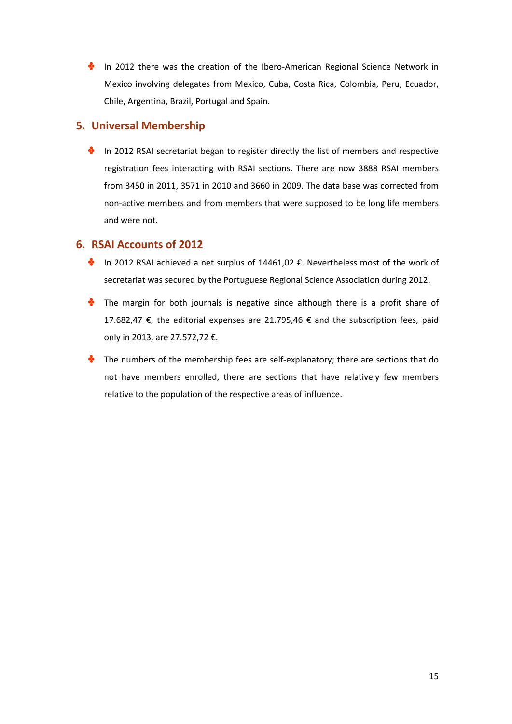In 2012 there was the creation of the Ibero-American Regional Science Network in Mexico involving delegates from Mexico, Cuba, Costa Rica, Colombia, Peru, Ecuador, Chile, Argentina, Brazil, Portugal and Spain.

# **5. Universal Membership**

In 2012 RSAI secretariat began to register directly the list of members and respective registration fees interacting with RSAI sections. There are now 3888 RSAI members from 3450 in 2011, 3571 in 2010 and 3660 in 2009. The data base was corrected from non-active members and from members that were supposed to be long life members and were not.

### **6. RSAI Accounts of 2012**

- In 2012 RSAI achieved a net surplus of  $14461,02 \epsilon$ . Nevertheless most of the work of secretariat was secured by the Portuguese Regional Science Association during 2012.
- **The margin for both journals is negative since although there is a profit share of** 17.682,47 €, the editorial expenses are 21.795,46 € and the subscription fees, paid only in 2013, are 27.572,72 €.
- The numbers of the membership fees are self-explanatory; there are sections that do not have members enrolled, there are sections that have relatively few members relative to the population of the respective areas of influence.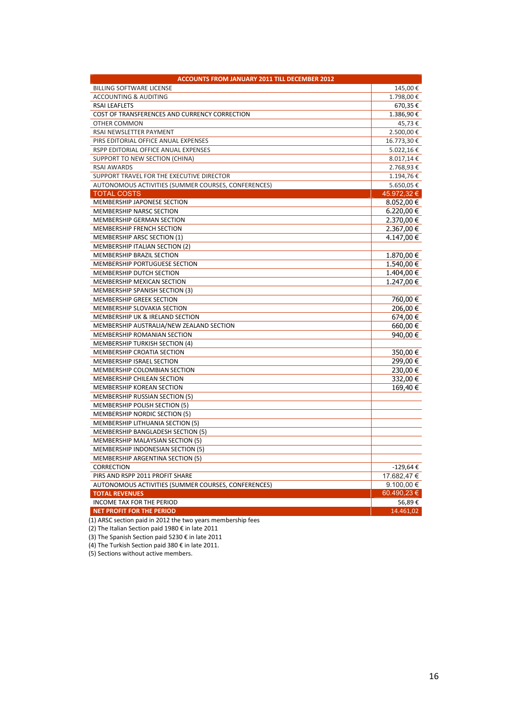| <b>ACCOUNTS FROM JANUARY 2011 TILL DECEMBER 2012</b> |                |  |  |  |
|------------------------------------------------------|----------------|--|--|--|
| <b>BILLING SOFTWARE LICENSE</b>                      | 145,00€        |  |  |  |
| <b>ACCOUNTING &amp; AUDITING</b>                     | 1.798,00€      |  |  |  |
| <b>RSAI LEAFLETS</b>                                 | 670,35€        |  |  |  |
| COST OF TRANSFERENCES AND CURRENCY CORRECTION        | 1.386,90€      |  |  |  |
| <b>OTHER COMMON</b>                                  | 45,73€         |  |  |  |
| RSAI NEWSLETTER PAYMENT                              | 2.500,00€      |  |  |  |
| PIRS EDITORIAL OFFICE ANUAL EXPENSES                 | 16.773,30€     |  |  |  |
| RSPP EDITORIAL OFFICE ANUAL EXPENSES                 | 5.022,16€      |  |  |  |
| SUPPORT TO NEW SECTION (CHINA)                       | 8.017,14€      |  |  |  |
| <b>RSAI AWARDS</b>                                   | 2.768,93€      |  |  |  |
| SUPPORT TRAVEL FOR THE EXECUTIVE DIRECTOR            | 1.194,76€      |  |  |  |
| AUTONOMOUS ACTIVITIES (SUMMER COURSES, CONFERENCES)  | 5.650,05€      |  |  |  |
| <b>TOTAL COSTS</b>                                   | 45.972,32 €    |  |  |  |
| MEMBERSHIP JAPONESE SECTION                          | $8.052,00 \in$ |  |  |  |
| MEMBERSHIP NARSC SECTION                             | $6.220,00 \in$ |  |  |  |
| MEMBERSHIP GERMAN SECTION                            | 2.370,00 €     |  |  |  |
| MEMBERSHIP FRENCH SECTION                            | 2.367,00 €     |  |  |  |
| MEMBERSHIP ARSC SECTION (1)                          | 4.147,00 €     |  |  |  |
| MEMBERSHIP ITALIAN SECTION (2)                       |                |  |  |  |
| MEMBERSHIP BRAZIL SECTION                            | 1.870,00 €     |  |  |  |
| MEMBERSHIP PORTUGUESE SECTION                        | 1.540,00 €     |  |  |  |
| MEMBERSHIP DUTCH SECTION                             | 1.404,00 €     |  |  |  |
| MEMBERSHIP MEXICAN SECTION                           | 1.247,00 €     |  |  |  |
| MEMBERSHIP SPANISH SECTION (3)                       |                |  |  |  |
| <b>MEMBERSHIP GREEK SECTION</b>                      | 760,00 €       |  |  |  |
| MEMBERSHIP SLOVAKIA SECTION                          | 206,00 €       |  |  |  |
| MEMBERSHIP UK & IRELAND SECTION                      | 674,00 €       |  |  |  |
| MEMBERSHIP AUSTRALIA/NEW ZEALAND SECTION             | 660,00 €       |  |  |  |
| MEMBERSHIP ROMANIAN SECTION                          | 940,00 €       |  |  |  |
| <b>MEMBERSHIP TURKISH SECTION (4)</b>                |                |  |  |  |
| MEMBERSHIP CROATIA SECTION                           | 350,00 €       |  |  |  |
| MEMBERSHIP ISRAEL SECTION                            | 299,00 €       |  |  |  |
| MEMBERSHIP COLOMBIAN SECTION                         | 230,00 €       |  |  |  |
| <b>MEMBERSHIP CHILEAN SECTION</b>                    | 332,00 €       |  |  |  |
| MEMBERSHIP KOREAN SECTION                            | 169,40 €       |  |  |  |
| <b>MEMBERSHIP RUSSIAN SECTION (5)</b>                |                |  |  |  |
| MEMBERSHIP POLISH SECTION (5)                        |                |  |  |  |
| <b>MEMBERSHIP NORDIC SECTION (5)</b>                 |                |  |  |  |
| <b>MEMBERSHIP LITHUANIA SECTION (5)</b>              |                |  |  |  |
| <b>MEMBERSHIP BANGLADESH SECTION (5)</b>             |                |  |  |  |
| MEMBERSHIP MALAYSIAN SECTION (5)                     |                |  |  |  |
| MEMBERSHIP INDONESIAN SECTION (5)                    |                |  |  |  |
| <b>MEMBERSHIP ARGENTINA SECTION (5)</b>              |                |  |  |  |
| CORRECTION                                           | $-129,64€$     |  |  |  |
| PIRS AND RSPP 2011 PROFIT SHARE                      | 17.682,47 €    |  |  |  |
| AUTONOMOUS ACTIVITIES (SUMMER COURSES, CONFERENCES)  | 9.100,00 $\in$ |  |  |  |
| <b>TOTAL REVENUES</b>                                | 60.490,23 €    |  |  |  |
| <b>INCOME TAX FOR THE PERIOD</b>                     | 56,89€         |  |  |  |
| <b>NET PROFIT FOR THE PERIOD</b>                     | 14.461,02      |  |  |  |

(1) ARSC section paid in 2012 the two years membership fees

(2) The Italian Section paid 1980 € in late 2011

(3) The Spanish Section paid 5230 € in late 2011

(4) The Turkish Section paid 380 € in late 2011.

(5) Sections without active members.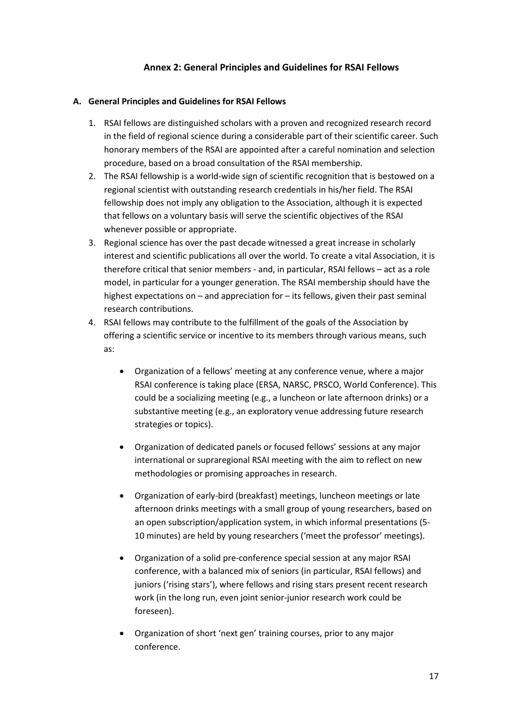#### **Annex 2: General Principles and Guidelines for RSAI Fellows**

#### **A. General Principles and Guidelines for RSAI Fellows**

- 1. RSAI fellows are distinguished scholars with a proven and recognized research record in the field of regional science during a considerable part of their scientific career. Such honorary members of the RSAI are appointed after a careful nomination and selection procedure, based on a broad consultation of the RSAI membership.
- 2. The RSAI fellowship is a world-wide sign of scientific recognition that is bestowed on a regional scientist with outstanding research credentials in his/her field. The RSAI fellowship does not imply any obligation to the Association, although it is expected that fellows on a voluntary basis will serve the scientific objectives of the RSAI whenever possible or appropriate.
- 3. Regional science has over the past decade witnessed a great increase in scholarly interest and scientific publications all over the world. To create a vital Association, it is therefore critical that senior members - and, in particular, RSAI fellows – act as a role model, in particular for a younger generation. The RSAI membership should have the highest expectations on – and appreciation for – its fellows, given their past seminal research contributions.
- 4. RSAI fellows may contribute to the fulfillment of the goals of the Association by offering a scientific service or incentive to its members through various means, such as:
	- Organization of a fellows' meeting at any conference venue, where a major RSAI conference is taking place (ERSA, NARSC, PRSCO, World Conference). This could be a socializing meeting (e.g., a luncheon or late afternoon drinks) or a substantive meeting (e.g., an exploratory venue addressing future research strategies or topics).
	- Organization of dedicated panels or focused fellows' sessions at any major international or supraregional RSAI meeting with the aim to reflect on new methodologies or promising approaches in research.
	- Organization of early-bird (breakfast) meetings, luncheon meetings or late afternoon drinks meetings with a small group of young researchers, based on an open subscription/application system, in which informal presentations (5- 10 minutes) are held by young researchers ('meet the professor' meetings).
	- Organization of a solid pre-conference special session at any major RSAI conference, with a balanced mix of seniors (in particular, RSAI fellows) and juniors ('rising stars'), where fellows and rising stars present recent research work (in the long run, even joint senior-junior research work could be foreseen).
	- Organization of short 'next gen' training courses, prior to any major conference.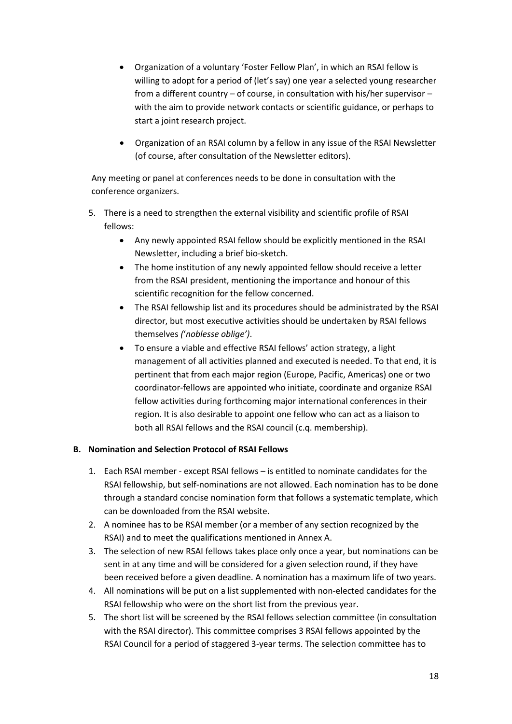- Organization of a voluntary 'Foster Fellow Plan', in which an RSAI fellow is willing to adopt for a period of (let's say) one year a selected young researcher from a different country – of course, in consultation with his/her supervisor – with the aim to provide network contacts or scientific guidance, or perhaps to start a joint research project.
- Organization of an RSAI column by a fellow in any issue of the RSAI Newsletter (of course, after consultation of the Newsletter editors).

Any meeting or panel at conferences needs to be done in consultation with the conference organizers.

- 5. There is a need to strengthen the external visibility and scientific profile of RSAI fellows:
	- Any newly appointed RSAI fellow should be explicitly mentioned in the RSAI Newsletter, including a brief bio-sketch.
	- The home institution of any newly appointed fellow should receive a letter from the RSAI president, mentioning the importance and honour of this scientific recognition for the fellow concerned.
	- The RSAI fellowship list and its procedures should be administrated by the RSAI director, but most executive activities should be undertaken by RSAI fellows themselves *(*'*noblesse oblige')*.
	- To ensure a viable and effective RSAI fellows' action strategy, a light management of all activities planned and executed is needed. To that end, it is pertinent that from each major region (Europe, Pacific, Americas) one or two coordinator-fellows are appointed who initiate, coordinate and organize RSAI fellow activities during forthcoming major international conferences in their region. It is also desirable to appoint one fellow who can act as a liaison to both all RSAI fellows and the RSAI council (c.q. membership).

### **B. Nomination and Selection Protocol of RSAI Fellows**

- 1. Each RSAI member except RSAI fellows is entitled to nominate candidates for the RSAI fellowship, but self-nominations are not allowed. Each nomination has to be done through a standard concise nomination form that follows a systematic template, which can be downloaded from the RSAI website.
- 2. A nominee has to be RSAI member (or a member of any section recognized by the RSAI) and to meet the qualifications mentioned in Annex A.
- 3. The selection of new RSAI fellows takes place only once a year, but nominations can be sent in at any time and will be considered for a given selection round, if they have been received before a given deadline. A nomination has a maximum life of two years.
- 4. All nominations will be put on a list supplemented with non-elected candidates for the RSAI fellowship who were on the short list from the previous year.
- 5. The short list will be screened by the RSAI fellows selection committee (in consultation with the RSAI director). This committee comprises 3 RSAI fellows appointed by the RSAI Council for a period of staggered 3-year terms. The selection committee has to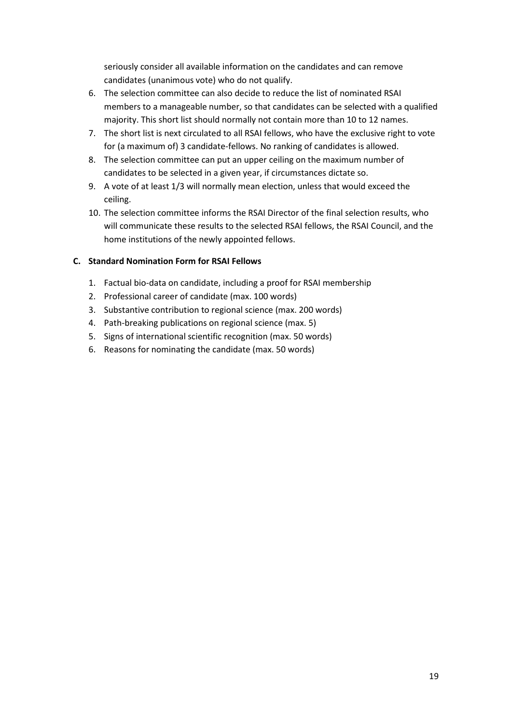seriously consider all available information on the candidates and can remove candidates (unanimous vote) who do not qualify.

- 6. The selection committee can also decide to reduce the list of nominated RSAI members to a manageable number, so that candidates can be selected with a qualified majority. This short list should normally not contain more than 10 to 12 names.
- 7. The short list is next circulated to all RSAI fellows, who have the exclusive right to vote for (a maximum of) 3 candidate-fellows. No ranking of candidates is allowed.
- 8. The selection committee can put an upper ceiling on the maximum number of candidates to be selected in a given year, if circumstances dictate so.
- 9. A vote of at least 1/3 will normally mean election, unless that would exceed the ceiling.
- 10. The selection committee informs the RSAI Director of the final selection results, who will communicate these results to the selected RSAI fellows, the RSAI Council, and the home institutions of the newly appointed fellows.

#### **C. Standard Nomination Form for RSAI Fellows**

- 1. Factual bio-data on candidate, including a proof for RSAI membership
- 2. Professional career of candidate (max. 100 words)
- 3. Substantive contribution to regional science (max. 200 words)
- 4. Path-breaking publications on regional science (max. 5)
- 5. Signs of international scientific recognition (max. 50 words)
- 6. Reasons for nominating the candidate (max. 50 words)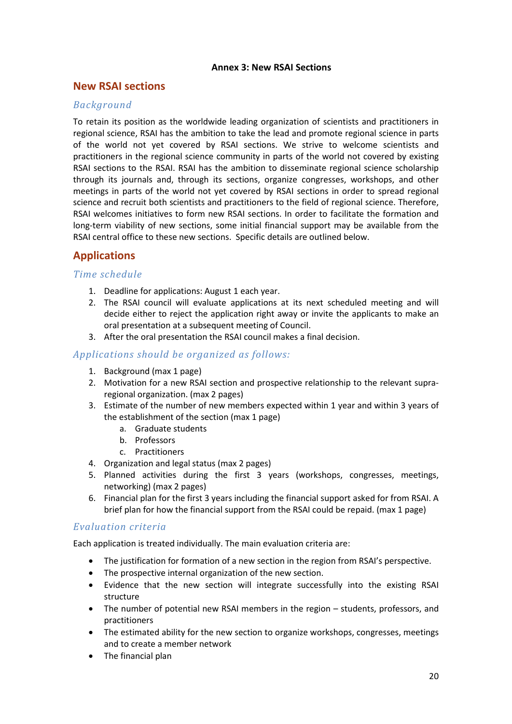#### **Annex 3: New RSAI Sections**

### **New RSAI sections**

### *Background*

To retain its position as the worldwide leading organization of scientists and practitioners in regional science, RSAI has the ambition to take the lead and promote regional science in parts of the world not yet covered by RSAI sections. We strive to welcome scientists and practitioners in the regional science community in parts of the world not covered by existing RSAI sections to the RSAI. RSAI has the ambition to disseminate regional science scholarship through its journals and, through its sections, organize congresses, workshops, and other meetings in parts of the world not yet covered by RSAI sections in order to spread regional science and recruit both scientists and practitioners to the field of regional science. Therefore, RSAI welcomes initiatives to form new RSAI sections. In order to facilitate the formation and long-term viability of new sections, some initial financial support may be available from the RSAI central office to these new sections. Specific details are outlined below.

# **Applications**

#### *Time schedule*

- 1. Deadline for applications: August 1 each year.
- 2. The RSAI council will evaluate applications at its next scheduled meeting and will decide either to reject the application right away or invite the applicants to make an oral presentation at a subsequent meeting of Council.
- 3. After the oral presentation the RSAI council makes a final decision.

### *Applications should be organized as follows:*

- 1. Background (max 1 page)
- 2. Motivation for a new RSAI section and prospective relationship to the relevant supraregional organization. (max 2 pages)
- 3. Estimate of the number of new members expected within 1 year and within 3 years of the establishment of the section (max 1 page)
	- a. Graduate students
	- b. Professors
	- c. Practitioners
- 4. Organization and legal status (max 2 pages)
- 5. Planned activities during the first 3 years (workshops, congresses, meetings, networking) (max 2 pages)
- 6. Financial plan for the first 3 years including the financial support asked for from RSAI. A brief plan for how the financial support from the RSAI could be repaid. (max 1 page)

### *Evaluation criteria*

Each application is treated individually. The main evaluation criteria are:

- The justification for formation of a new section in the region from RSAI's perspective.
- The prospective internal organization of the new section.
- Evidence that the new section will integrate successfully into the existing RSAI structure
- The number of potential new RSAI members in the region students, professors, and practitioners
- The estimated ability for the new section to organize workshops, congresses, meetings and to create a member network
- The financial plan